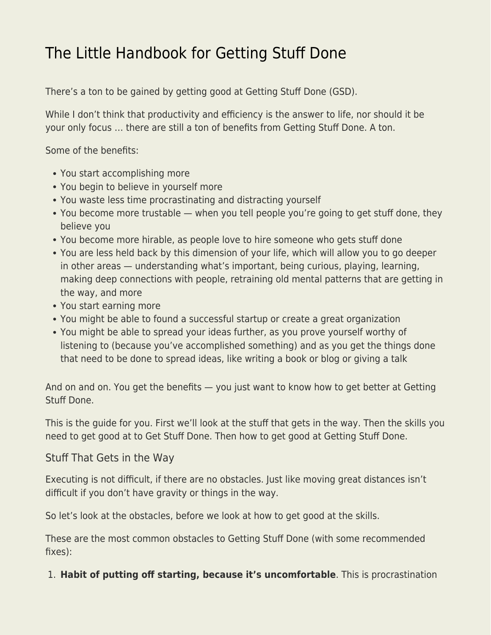# [The Little Handbook for Getting Stuff Done](https://everything-voluntary.com/the-little-handbook-for-getting-stuff-done)

There's a ton to be gained by getting good at Getting Stuff Done (GSD).

While I don't think that productivity and efficiency is the answer to life, nor should it be your only focus … there are still a ton of benefits from Getting Stuff Done. A ton.

Some of the benefits:

- You start accomplishing more
- You begin to believe in yourself more
- You waste less time procrastinating and distracting yourself
- You become more trustable when you tell people you're going to get stuff done, they believe you
- You become more hirable, as people love to hire someone who gets stuff done
- You are less held back by this dimension of your life, which will allow you to go deeper in other areas — understanding what's important, being curious, playing, learning, making deep connections with people, retraining old mental patterns that are getting in the way, and more
- You start earning more
- You might be able to found a successful startup or create a great organization
- You might be able to spread your ideas further, as you prove yourself worthy of listening to (because you've accomplished something) and as you get the things done that need to be done to spread ideas, like writing a book or blog or giving a talk

And on and on. You get the benefits — you just want to know how to get better at Getting Stuff Done.

This is the guide for you. First we'll look at the stuff that gets in the way. Then the skills you need to get good at to Get Stuff Done. Then how to get good at Getting Stuff Done.

#### Stuff That Gets in the Way

Executing is not difficult, if there are no obstacles. Just like moving great distances isn't difficult if you don't have gravity or things in the way.

So let's look at the obstacles, before we look at how to get good at the skills.

These are the most common obstacles to Getting Stuff Done (with some recommended fixes):

#### 1. **Habit of putting off starting, because it's uncomfortable**. This is procrastination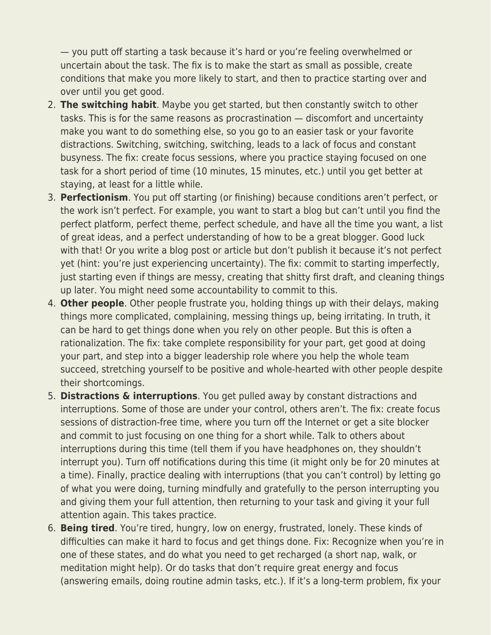— you putt off starting a task because it's hard or you're feeling overwhelmed or uncertain about the task. The fix is to make the start as small as possible, create conditions that make you more likely to start, and then to practice starting over and over until you get good.

- 2. **The switching habit**. Maybe you get started, but then constantly switch to other tasks. This is for the same reasons as procrastination — discomfort and uncertainty make you want to do something else, so you go to an easier task or your favorite distractions. Switching, switching, switching, leads to a lack of focus and constant busyness. The fix: create focus sessions, where you practice staying focused on one task for a short period of time (10 minutes, 15 minutes, etc.) until you get better at staying, at least for a little while.
- 3. **Perfectionism**. You put off starting (or finishing) because conditions aren't perfect, or the work isn't perfect. For example, you want to start a blog but can't until you find the perfect platform, perfect theme, perfect schedule, and have all the time you want, a list of great ideas, and a perfect understanding of how to be a great blogger. Good luck with that! Or you write a blog post or article but don't publish it because it's not perfect yet (hint: you're just experiencing uncertainty). The fix: commit to starting imperfectly, just starting even if things are messy, creating that shitty first draft, and cleaning things up later. You might need some accountability to commit to this.
- 4. **Other people**. Other people frustrate you, holding things up with their delays, making things more complicated, complaining, messing things up, being irritating. In truth, it can be hard to get things done when you rely on other people. But this is often a rationalization. The fix: take complete responsibility for your part, get good at doing your part, and step into a bigger leadership role where you help the whole team succeed, stretching yourself to be positive and whole-hearted with other people despite their shortcomings.
- 5. **Distractions & interruptions**. You get pulled away by constant distractions and interruptions. Some of those are under your control, others aren't. The fix: create focus sessions of distraction-free time, where you turn off the Internet or get a site blocker and commit to just focusing on one thing for a short while. Talk to others about interruptions during this time (tell them if you have headphones on, they shouldn't interrupt you). Turn off notifications during this time (it might only be for 20 minutes at a time). Finally, practice dealing with interruptions (that you can't control) by letting go of what you were doing, turning mindfully and gratefully to the person interrupting you and giving them your full attention, then returning to your task and giving it your full attention again. This takes practice.
- 6. **Being tired**. You're tired, hungry, low on energy, frustrated, lonely. These kinds of difficulties can make it hard to focus and get things done. Fix: Recognize when you're in one of these states, and do what you need to get recharged (a short nap, walk, or meditation might help). Or do tasks that don't require great energy and focus (answering emails, doing routine admin tasks, etc.). If it's a long-term problem, fix your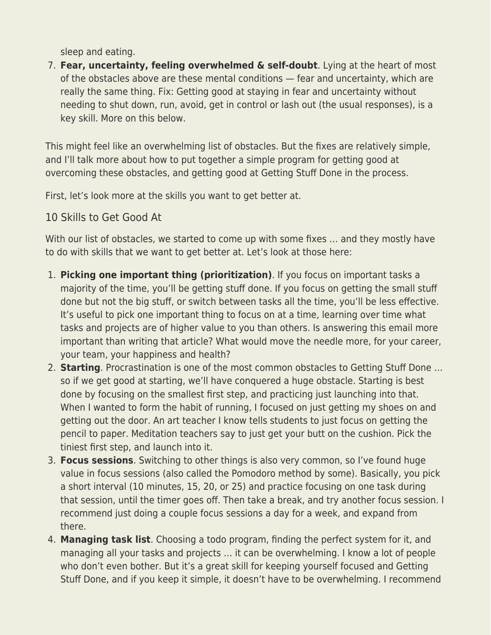sleep and eating.

7. **Fear, uncertainty, feeling overwhelmed & self-doubt**. Lying at the heart of most of the obstacles above are these mental conditions — fear and uncertainty, which are really the same thing. Fix: Getting good at staying in fear and uncertainty without needing to shut down, run, avoid, get in control or lash out (the usual responses), is a key skill. More on this below.

This might feel like an overwhelming list of obstacles. But the fixes are relatively simple, and I'll talk more about how to put together a simple program for getting good at overcoming these obstacles, and getting good at Getting Stuff Done in the process.

First, let's look more at the skills you want to get better at.

## 10 Skills to Get Good At

With our list of obstacles, we started to come up with some fixes ... and they mostly have to do with skills that we want to get better at. Let's look at those here:

- 1. **Picking one important thing (prioritization)**. If you focus on important tasks a majority of the time, you'll be getting stuff done. If you focus on getting the small stuff done but not the big stuff, or switch between tasks all the time, you'll be less effective. It's useful to pick one important thing to focus on at a time, learning over time what tasks and projects are of higher value to you than others. Is answering this email more important than writing that article? What would move the needle more, for your career, your team, your happiness and health?
- 2. **Starting**. Procrastination is one of the most common obstacles to Getting Stuff Done … so if we get good at starting, we'll have conquered a huge obstacle. Starting is best done by focusing on the smallest first step, and practicing just launching into that. When I wanted to form the habit of running, I focused on just getting my shoes on and getting out the door. An art teacher I know tells students to just focus on getting the pencil to paper. Meditation teachers say to just get your butt on the cushion. Pick the tiniest first step, and launch into it.
- 3. **Focus sessions**. Switching to other things is also very common, so I've found huge value in focus sessions (also called the Pomodoro method by some). Basically, you pick a short interval (10 minutes, 15, 20, or 25) and practice focusing on one task during that session, until the timer goes off. Then take a break, and try another focus session. I recommend just doing a couple focus sessions a day for a week, and expand from there.
- 4. **Managing task list**. Choosing a todo program, finding the perfect system for it, and managing all your tasks and projects … it can be overwhelming. I know a lot of people who don't even bother. But it's a great skill for keeping yourself focused and Getting Stuff Done, and if you keep it simple, it doesn't have to be overwhelming. I recommend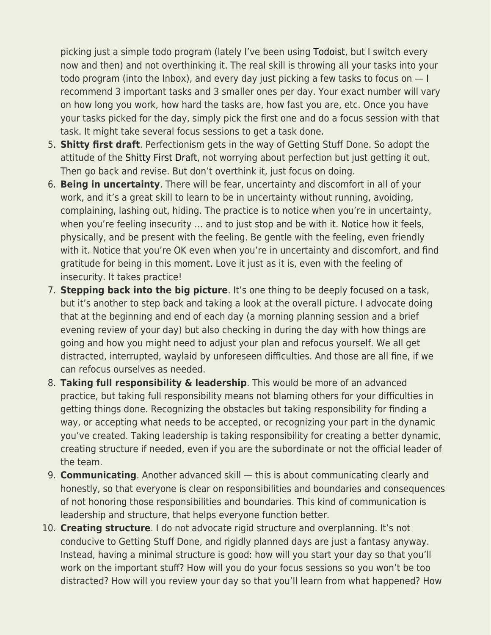picking just a simple todo program (lately I've been using [Todoist](https://todoist.com/), but I switch every now and then) and not overthinking it. The real skill is throwing all your tasks into your todo program (into the Inbox), and every day just picking a few tasks to focus on — I recommend 3 important tasks and 3 smaller ones per day. Your exact number will vary on how long you work, how hard the tasks are, how fast you are, etc. Once you have your tasks picked for the day, simply pick the first one and do a focus session with that task. It might take several focus sessions to get a task done.

- 5. **Shitty first draft**. Perfectionism gets in the way of Getting Stuff Done. So adopt the attitude of the [Shitty First Draft,](https://www.goodreads.com/quotes/40088-perfectionism-is-the-voice-of-the-oppressor-the-enemy-of) not worrying about perfection but just getting it out. Then go back and revise. But don't overthink it, just focus on doing.
- 6. **Being in uncertainty**. There will be fear, uncertainty and discomfort in all of your work, and it's a great skill to learn to be in uncertainty without running, avoiding, complaining, lashing out, hiding. The practice is to notice when you're in uncertainty, when you're feeling insecurity … and to just stop and be with it. Notice how it feels, physically, and be present with the feeling. Be gentle with the feeling, even friendly with it. Notice that you're OK even when you're in uncertainty and discomfort, and find gratitude for being in this moment. Love it just as it is, even with the feeling of insecurity. It takes practice!
- 7. **Stepping back into the big picture**. It's one thing to be deeply focused on a task, but it's another to step back and taking a look at the overall picture. I advocate doing that at the beginning and end of each day (a morning planning session and a brief evening review of your day) but also checking in during the day with how things are going and how you might need to adjust your plan and refocus yourself. We all get distracted, interrupted, waylaid by unforeseen difficulties. And those are all fine, if we can refocus ourselves as needed.
- 8. **Taking full responsibility & leadership**. This would be more of an advanced practice, but taking full responsibility means not blaming others for your difficulties in getting things done. Recognizing the obstacles but taking responsibility for finding a way, or accepting what needs to be accepted, or recognizing your part in the dynamic you've created. Taking leadership is taking responsibility for creating a better dynamic, creating structure if needed, even if you are the subordinate or not the official leader of the team.
- 9. **Communicating**. Another advanced skill this is about communicating clearly and honestly, so that everyone is clear on responsibilities and boundaries and consequences of not honoring those responsibilities and boundaries. This kind of communication is leadership and structure, that helps everyone function better.
- 10. **Creating structure**. I do not advocate rigid structure and overplanning. It's not conducive to Getting Stuff Done, and rigidly planned days are just a fantasy anyway. Instead, having a minimal structure is good: how will you start your day so that you'll work on the important stuff? How will you do your focus sessions so you won't be too distracted? How will you review your day so that you'll learn from what happened? How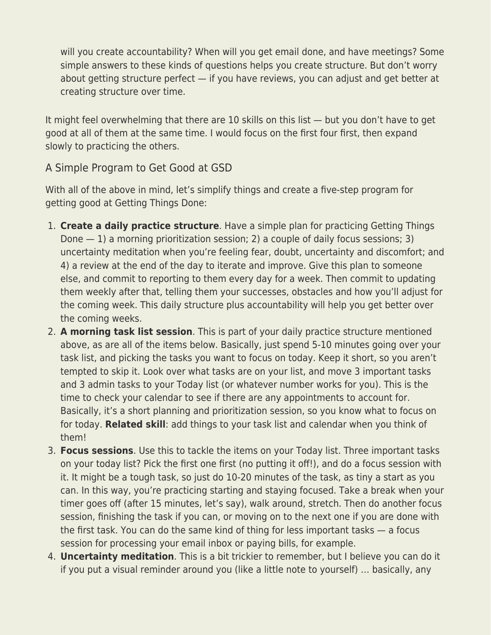will you create accountability? When will you get email done, and have meetings? Some simple answers to these kinds of questions helps you create structure. But don't worry about getting structure perfect — if you have reviews, you can adjust and get better at creating structure over time.

It might feel overwhelming that there are 10 skills on this list — but you don't have to get good at all of them at the same time. I would focus on the first four first, then expand slowly to practicing the others.

### A Simple Program to Get Good at GSD

With all of the above in mind, let's simplify things and create a five-step program for getting good at Getting Things Done:

- 1. **Create a daily practice structure**. Have a simple plan for practicing Getting Things Done  $-1$ ) a morning prioritization session; 2) a couple of daily focus sessions; 3) uncertainty meditation when you're feeling fear, doubt, uncertainty and discomfort; and 4) a review at the end of the day to iterate and improve. Give this plan to someone else, and commit to reporting to them every day for a week. Then commit to updating them weekly after that, telling them your successes, obstacles and how you'll adjust for the coming week. This daily structure plus accountability will help you get better over the coming weeks.
- 2. **A morning task list session**. This is part of your daily practice structure mentioned above, as are all of the items below. Basically, just spend 5-10 minutes going over your task list, and picking the tasks you want to focus on today. Keep it short, so you aren't tempted to skip it. Look over what tasks are on your list, and move 3 important tasks and 3 admin tasks to your Today list (or whatever number works for you). This is the time to check your calendar to see if there are any appointments to account for. Basically, it's a short planning and prioritization session, so you know what to focus on for today. **Related skill**: add things to your task list and calendar when you think of them!
- 3. **Focus sessions**. Use this to tackle the items on your Today list. Three important tasks on your today list? Pick the first one first (no putting it off!), and do a focus session with it. It might be a tough task, so just do 10-20 minutes of the task, as tiny a start as you can. In this way, you're practicing starting and staying focused. Take a break when your timer goes off (after 15 minutes, let's say), walk around, stretch. Then do another focus session, finishing the task if you can, or moving on to the next one if you are done with the first task. You can do the same kind of thing for less important tasks — a focus session for processing your email inbox or paying bills, for example.
- 4. **Uncertainty meditation**. This is a bit trickier to remember, but I believe you can do it if you put a visual reminder around you (like a little note to yourself) … basically, any